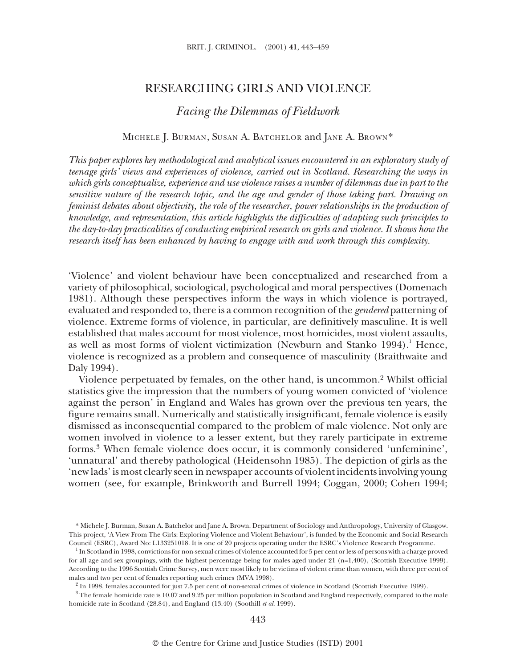# RESEARCHING GIRLS AND VIOLENCE

## *Facing the Dilemmas of Fieldwork*

## MICHELE J. BURMAN, SUSAN A. BATCHELOR and JANE A. BROWN\*

*This paper explores key methodological and analytical issues encountered in an exploratory study of teenage girls' views and experiences of violence, carried out in Scotland. Researching the ways in which girls conceptualize, experience and use violence raises a number of dilemmas due in part to the sensitive nature of the research topic, and the age and gender of those taking part. Drawing on feminist debates about objectivity, the role of the researcher, power relationships in the production of knowledge, and representation, this article highlights the difficulties of adapting such principles to the day-to-day practicalities of conducting empirical research on girls and violence. It shows how the research itself has been enhanced by having to engage with and work through this complexity.*

'Violence' and violent behaviour have been conceptualized and researched from a variety of philosophical, sociological, psychological and moral perspectives (Domenach 1981). Although these perspectives inform the ways in which violence is portrayed, evaluated and responded to, there is a common recognition of the *gendered* patterning of violence. Extreme forms of violence, in particular, are definitively masculine. It is well established that males account for most violence, most homicides, most violent assaults, as well as most forms of violent victimization (Newburn and Stanko 1994).<sup>1</sup> Hence, violence is recognized as a problem and consequence of masculinity (Braithwaite and Daly 1994).

Violence perpetuated by females, on the other hand, is uncommon.2 Whilst official statistics give the impression that the numbers of young women convicted of 'violence against the person' in England and Wales has grown over the previous ten years, the figure remains small. Numerically and statistically insignificant, female violence is easily dismissed as inconsequential compared to the problem of male violence. Not only are women involved in violence to a lesser extent, but they rarely participate in extreme forms.3 When female violence does occur, it is commonly considered 'unfeminine', 'unnatural' and thereby pathological (Heidensohn 1985). The depiction of girls as the 'new lads' is most clearly seen in newspaper accounts of violent incidents involving young women (see, for example, Brinkworth and Burrell 1994; Coggan, 2000; Cohen 1994;

 $2$  In 1998, females accounted for just 7.5 per cent of non-sexual crimes of violence in Scotland (Scottish Executive 1999).

 $3$  The female homicide rate is 10.07 and 9.25 per million population in Scotland and England respectively, compared to the male homicide rate in Scotland (28.84), and England (13.40) (Soothill *et al*. 1999).

<sup>\*</sup> Michele J. Burman, Susan A. Batchelor and Jane A. Brown. Department of Sociology and Anthropology, University of Glasgow. This project, 'A View From The Girls: Exploring Violence and Violent Behaviour', is funded by the Economic and Social Research Council (ESRC), Award No: L133251018. It is one of 20 projects operating under the ESRC's Violence Research Programme.

<sup>&</sup>lt;sup>1</sup> In Scotland in 1998, convictions for non-sexual crimes of violence accounted for 5 per cent or less of persons with a charge proved for all age and sex groupings, with the highest percentage being for males aged under 21 (n=1,400), (Scottish Executive 1999). According to the 1996 Scottish Crime Survey, men were most likely to be victims of violent crime than women, with three per cent of males and two per cent of females reporting such crimes (MVA 1998).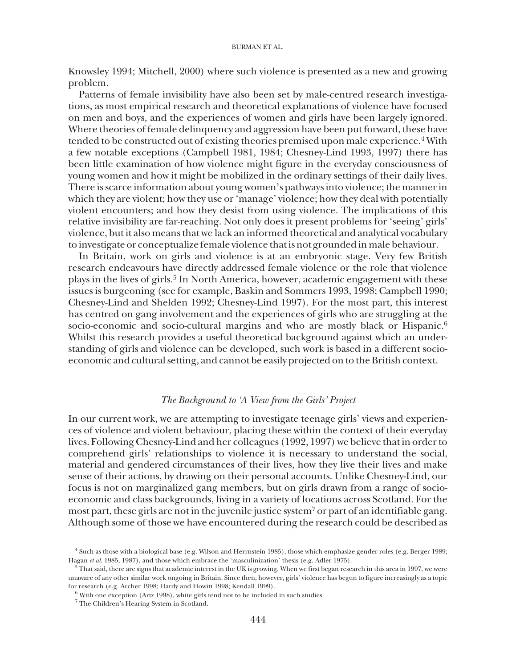Knowsley 1994; Mitchell, 2000) where such violence is presented as a new and growing problem.

Patterns of female invisibility have also been set by male-centred research investigations, as most empirical research and theoretical explanations of violence have focused on men and boys, and the experiences of women and girls have been largely ignored. Where theories of female delinquency and aggression have been put forward, these have tended to be constructed out of existing theories premised upon male experience.4 With a few notable exceptions (Campbell 1981, 1984; Chesney-Lind 1993, 1997) there has been little examination of how violence might figure in the everyday consciousness of young women and how it might be mobilized in the ordinary settings of their daily lives. There is scarce information about young women's pathways into violence; the manner in which they are violent; how they use or 'manage' violence; how they deal with potentially violent encounters; and how they desist from using violence. The implications of this relative invisibility are far-reaching. Not only does it present problems for 'seeing' girls' violence, but it also means that we lack an informed theoretical and analytical vocabulary to investigate or conceptualize female violence that is not grounded in male behaviour.

In Britain, work on girls and violence is at an embryonic stage. Very few British research endeavours have directly addressed female violence or the role that violence plays in the lives of girls.5 In North America, however, academic engagement with these issues is burgeoning (see for example, Baskin and Sommers 1993, 1998; Campbell 1990; Chesney-Lind and Shelden 1992; Chesney-Lind 1997). For the most part, this interest has centred on gang involvement and the experiences of girls who are struggling at the socio-economic and socio-cultural margins and who are mostly black or Hispanic.<sup>6</sup> Whilst this research provides a useful theoretical background against which an understanding of girls and violence can be developed, such work is based in a different socioeconomic and cultural setting, and cannot be easily projected on to the British context.

### *The Background to 'A View from the Girls' Project*

In our current work, we are attempting to investigate teenage girls' views and experiences of violence and violent behaviour, placing these within the context of their everyday lives. Following Chesney-Lind and her colleagues (1992, 1997) we believe that in order to comprehend girls' relationships to violence it is necessary to understand the social, material and gendered circumstances of their lives, how they live their lives and make sense of their actions, by drawing on their personal accounts. Unlike Chesney-Lind, our focus is not on marginalized gang members, but on girls drawn from a range of socioeconomic and class backgrounds, living in a variety of locations across Scotland. For the most part, these girls are not in the juvenile justice system<sup>7</sup> or part of an identifiable gang. Although some of those we have encountered during the research could be described as

<sup>4</sup> Such as those with a biological base (e.g. Wilson and Herrnstein 1985), those which emphasize gender roles (e.g. Berger 1989; Hagan *et al.* 1985, 1987), and those which embrace the 'masculinization' thesis (e.g. Adler 1975).

 $5$ That said, there are signs that academic interest in the UK is growing. When we first began research in this area in 1997, we were unaware of any other similar work ongoing in Britain. Since then, however, girls' violence has begun to figure increasingly as a topic for research (e.g. Archer 1998; Hardy and Howitt 1998; Kendall 1999).

 $6$  With one exception (Artz 1998), white girls tend not to be included in such studies.

<sup>7</sup> The Children's Hearing System in Scotland.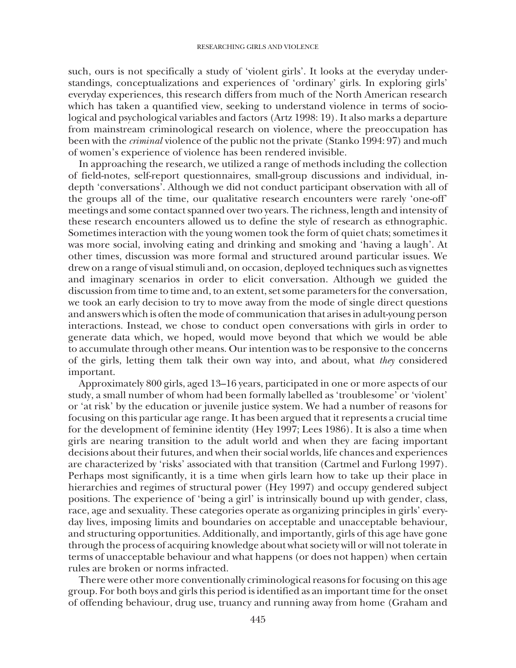such, ours is not specifically a study of 'violent girls'. It looks at the everyday understandings, conceptualizations and experiences of 'ordinary' girls. In exploring girls' everyday experiences, this research differs from much of the North American research which has taken a quantified view, seeking to understand violence in terms of sociological and psychological variables and factors (Artz 1998: 19). It also marks a departure from mainstream criminological research on violence, where the preoccupation has been with the *criminal* violence of the public not the private (Stanko 1994: 97) and much of women's experience of violence has been rendered invisible.

In approaching the research, we utilized a range of methods including the collection of field-notes, self-report questionnaires, small-group discussions and individual, indepth 'conversations'. Although we did not conduct participant observation with all of the groups all of the time, our qualitative research encounters were rarely 'one-off' meetings and some contact spanned over two years. The richness, length and intensity of these research encounters allowed us to define the style of research as ethnographic. Sometimes interaction with the young women took the form of quiet chats; sometimes it was more social, involving eating and drinking and smoking and 'having a laugh'. At other times, discussion was more formal and structured around particular issues. We drew on a range of visual stimuli and, on occasion, deployed techniques such as vignettes and imaginary scenarios in order to elicit conversation. Although we guided the discussion from time to time and, to an extent, set some parameters for the conversation, we took an early decision to try to move away from the mode of single direct questions and answers which is often the mode of communication that arises in adult-young person interactions. Instead, we chose to conduct open conversations with girls in order to generate data which, we hoped, would move beyond that which we would be able to accumulate through other means. Our intention was to be responsive to the concerns of the girls, letting them talk their own way into, and about, what *they* considered important.

Approximately 800 girls, aged 13–16 years, participated in one or more aspects of our study, a small number of whom had been formally labelled as 'troublesome' or 'violent' or 'at risk' by the education or juvenile justice system. We had a number of reasons for focusing on this particular age range. It has been argued that it represents a crucial time for the development of feminine identity (Hey 1997; Lees 1986). It is also a time when girls are nearing transition to the adult world and when they are facing important decisions about their futures, and when their social worlds, life chances and experiences are characterized by 'risks' associated with that transition (Cartmel and Furlong 1997). Perhaps most significantly, it is a time when girls learn how to take up their place in hierarchies and regimes of structural power (Hey 1997) and occupy gendered subject positions. The experience of 'being a girl' is intrinsically bound up with gender, class, race, age and sexuality. These categories operate as organizing principles in girls' everyday lives, imposing limits and boundaries on acceptable and unacceptable behaviour, and structuring opportunities. Additionally, and importantly, girls of this age have gone through the process of acquiring knowledge about what society will or will not tolerate in terms of unacceptable behaviour and what happens (or does not happen) when certain rules are broken or norms infracted.

There were other more conventionally criminological reasons for focusing on this age group. For both boys and girls this period is identified as an important time for the onset of offending behaviour, drug use, truancy and running away from home (Graham and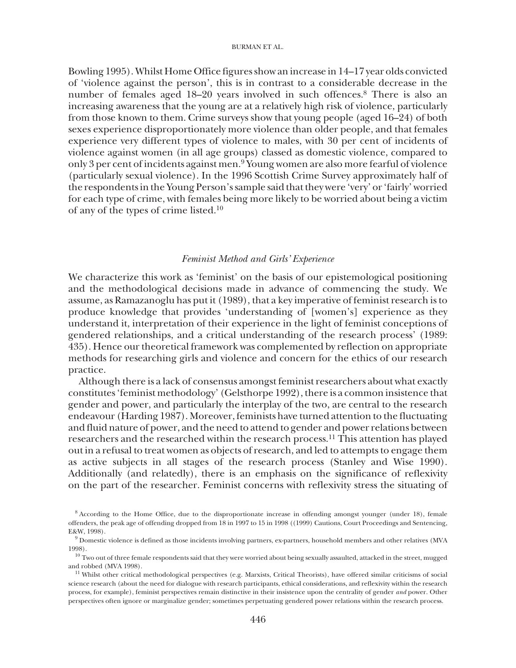Bowling 1995). Whilst Home Office figures show an increase in 14–17 year olds convicted of 'violence against the person', this is in contrast to a considerable decrease in the number of females aged 18–20 years involved in such offences.8 There is also an increasing awareness that the young are at a relatively high risk of violence, particularly from those known to them. Crime surveys show that young people (aged 16–24) of both sexes experience disproportionately more violence than older people, and that females experience very different types of violence to males, with 30 per cent of incidents of violence against women (in all age groups) classed as domestic violence, compared to only 3 per cent of incidents against men.9 Young women are also more fearful of violence (particularly sexual violence). In the 1996 Scottish Crime Survey approximately half of the respondents in the Young Person's sample said that they were 'very' or 'fairly' worried for each type of crime, with females being more likely to be worried about being a victim of any of the types of crime listed.10

#### *Feminist Method and Girls' Experience*

We characterize this work as 'feminist' on the basis of our epistemological positioning and the methodological decisions made in advance of commencing the study. We assume, as Ramazanoglu has put it (1989), that a key imperative of feminist research is to produce knowledge that provides 'understanding of [women's] experience as they understand it, interpretation of their experience in the light of feminist conceptions of gendered relationships, and a critical understanding of the research process' (1989: 435). Hence our theoretical framework was complemented by reflection on appropriate methods for researching girls and violence and concern for the ethics of our research practice.

Although there is a lack of consensus amongst feminist researchers about what exactly constitutes 'feminist methodology' (Gelsthorpe 1992), there is a common insistence that gender and power, and particularly the interplay of the two, are central to the research endeavour (Harding 1987). Moreover, feminists have turned attention to the fluctuating and fluid nature of power, and the need to attend to gender and power relations between researchers and the researched within the research process.11 This attention has played out in a refusal to treat women as objects of research, and led to attempts to engage them as active subjects in all stages of the research process (Stanley and Wise 1990). Additionally (and relatedly), there is an emphasis on the significance of reflexivity on the part of the researcher. Feminist concerns with reflexivity stress the situating of

<sup>8</sup> According to the Home Office, due to the disproportionate increase in offending amongst younger (under 18), female offenders, the peak age of offending dropped from 18 in 1997 to 15 in 1998 ((1999) Cautions, Court Proceedings and Sentencing, E&W, 1998).

 $9$  Domestic violence is defined as those incidents involving partners, ex-partners, household members and other relatives (MVA 1998).

 $10$  Two out of three female respondents said that they were worried about being sexually assaulted, attacked in the street, mugged and robbed (MVA 1998).

<sup>&</sup>lt;sup>11</sup> Whilst other critical methodological perspectives (e.g. Marxists, Critical Theorists), have offered similar criticisms of social science research (about the need for dialogue with research participants, ethical considerations, and reflexivity within the research process, for example), feminist perspectives remain distinctive in their insistence upon the centrality of gender *and* power. Other perspectives often ignore or marginalize gender; sometimes perpetuating gendered power relations within the research process.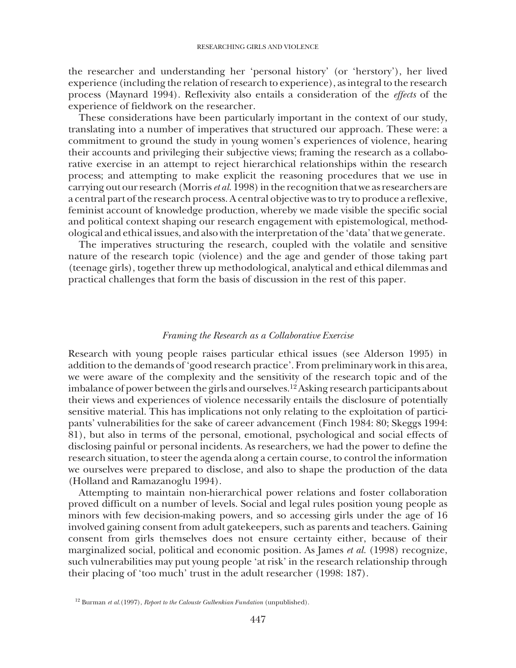the researcher and understanding her 'personal history' (or 'herstory'), her lived experience (including the relation of research to experience), as integral to the research process (Maynard 1994). Reflexivity also entails a consideration of the *effects* of the experience of fieldwork on the researcher.

These considerations have been particularly important in the context of our study, translating into a number of imperatives that structured our approach. These were: a commitment to ground the study in young women's experiences of violence, hearing their accounts and privileging their subjective views; framing the research as a collaborative exercise in an attempt to reject hierarchical relationships within the research process; and attempting to make explicit the reasoning procedures that we use in carrying out our research (Morris*et al.* 1998) in the recognition that we as researchers are a central part of the research process. A central objective was to try to produce a reflexive, feminist account of knowledge production, whereby we made visible the specific social and political context shaping our research engagement with epistemological, methodological and ethical issues, and also with the interpretation of the 'data' that we generate.

The imperatives structuring the research, coupled with the volatile and sensitive nature of the research topic (violence) and the age and gender of those taking part (teenage girls), together threw up methodological, analytical and ethical dilemmas and practical challenges that form the basis of discussion in the rest of this paper.

#### *Framing the Research as a Collaborative Exercise*

Research with young people raises particular ethical issues (see Alderson 1995) in addition to the demands of 'good research practice'. From preliminary work in this area, we were aware of the complexity and the sensitivity of the research topic and of the imbalance of power between the girls and ourselves.<sup>12</sup> Asking research participants about their views and experiences of violence necessarily entails the disclosure of potentially sensitive material. This has implications not only relating to the exploitation of participants' vulnerabilities for the sake of career advancement (Finch 1984: 80; Skeggs 1994: 81), but also in terms of the personal, emotional, psychological and social effects of disclosing painful or personal incidents. As researchers, we had the power to define the research situation, to steer the agenda along a certain course, to control the information we ourselves were prepared to disclose, and also to shape the production of the data (Holland and Ramazanoglu 1994).

Attempting to maintain non-hierarchical power relations and foster collaboration proved difficult on a number of levels. Social and legal rules position young people as minors with few decision-making powers, and so accessing girls under the age of 16 involved gaining consent from adult gatekeepers, such as parents and teachers. Gaining consent from girls themselves does not ensure certainty either, because of their marginalized social, political and economic position. As James *et al.* (1998) recognize, such vulnerabilities may put young people 'at risk' in the research relationship through their placing of 'too much' trust in the adult researcher (1998: 187).

<sup>12</sup> Burman *et al.*(1997), *Report to the Calouste Gulbenkian Fundation* (unpublished).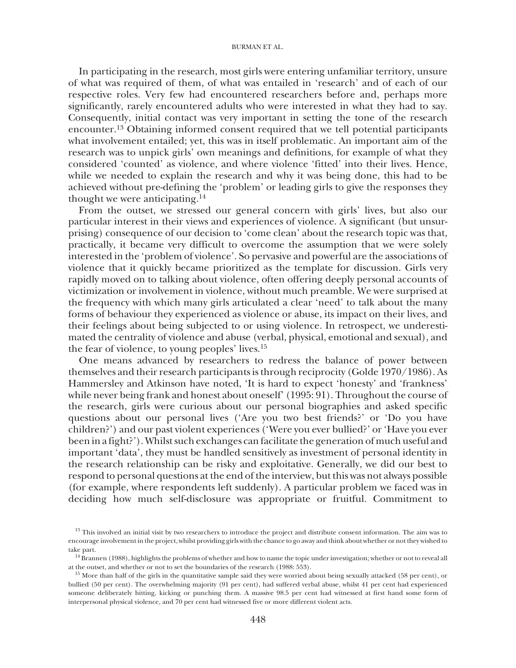In participating in the research, most girls were entering unfamiliar territory, unsure of what was required of them, of what was entailed in 'research' and of each of our respective roles. Very few had encountered researchers before and, perhaps more significantly, rarely encountered adults who were interested in what they had to say. Consequently, initial contact was very important in setting the tone of the research encounter.13 Obtaining informed consent required that we tell potential participants what involvement entailed; yet, this was in itself problematic. An important aim of the research was to unpick girls' own meanings and definitions, for example of what they considered 'counted' as violence, and where violence 'fitted' into their lives. Hence, while we needed to explain the research and why it was being done, this had to be achieved without pre-defining the 'problem' or leading girls to give the responses they thought we were anticipating.14

From the outset, we stressed our general concern with girls' lives, but also our particular interest in their views and experiences of violence. A significant (but unsurprising) consequence of our decision to 'come clean' about the research topic was that, practically, it became very difficult to overcome the assumption that we were solely interested in the 'problem of violence'. So pervasive and powerful are the associations of violence that it quickly became prioritized as the template for discussion. Girls very rapidly moved on to talking about violence, often offering deeply personal accounts of victimization or involvement in violence, without much preamble. We were surprised at the frequency with which many girls articulated a clear 'need' to talk about the many forms of behaviour they experienced as violence or abuse, its impact on their lives, and their feelings about being subjected to or using violence. In retrospect, we underestimated the centrality of violence and abuse (verbal, physical, emotional and sexual), and the fear of violence, to young peoples' lives.15

One means advanced by researchers to redress the balance of power between themselves and their research participants is through reciprocity (Golde 1970/1986). As Hammersley and Atkinson have noted, 'It is hard to expect 'honesty' and 'frankness' while never being frank and honest about oneself' (1995: 91). Throughout the course of the research, girls were curious about our personal biographies and asked specific questions about our personal lives ('Are you two best friends?' or 'Do you have children?') and our past violent experiences ('Were you ever bullied?' or 'Have you ever been in a fight?'). Whilst such exchanges can facilitate the generation of much useful and important 'data', they must be handled sensitively as investment of personal identity in the research relationship can be risky and exploitative. Generally, we did our best to respond to personal questions at the end of the interview, but this was not always possible (for example, where respondents left suddenly). A particular problem we faced was in deciding how much self-disclosure was appropriate or fruitful. Commitment to

<sup>&</sup>lt;sup>13</sup> This involved an initial visit by two researchers to introduce the project and distribute consent information. The aim was to encourage involvement in the project, whilst providing girls with the chance to go away and think about whether or not they wished to take part.

<sup>&</sup>lt;sup>14</sup> Brannen (1988), highlights the problems of whether and how to name the topic under investigation; whether or not to reveal all at the outset, and whether or not to set the boundaries of the research (1988: 553).

<sup>&</sup>lt;sup>15</sup> More than half of the girls in the quantitative sample said they were worried about being sexually attacked (58 per cent), or bullied (50 per cent). The overwhelming majority (91 per cent), had suffered verbal abuse, whilst 41 per cent had experienced someone deliberately hitting, kicking or punching them. A massive 98.5 per cent had witnessed at first hand some form of interpersonal physical violence, and 70 per cent had witnessed five or more different violent acts.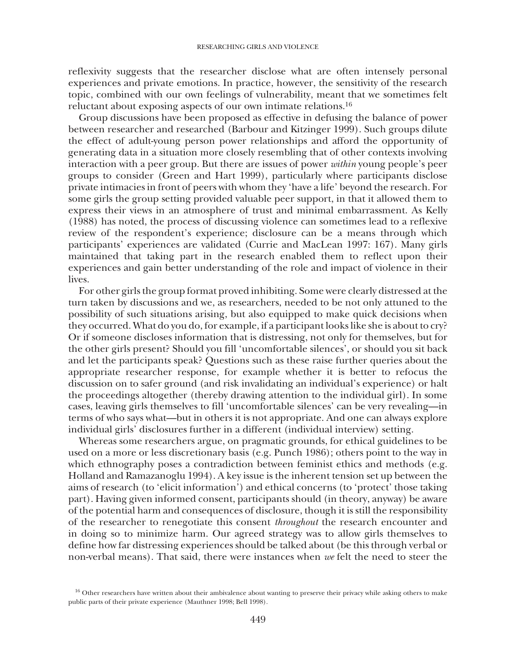reflexivity suggests that the researcher disclose what are often intensely personal experiences and private emotions. In practice, however, the sensitivity of the research topic, combined with our own feelings of vulnerability, meant that we sometimes felt reluctant about exposing aspects of our own intimate relations.16

Group discussions have been proposed as effective in defusing the balance of power between researcher and researched (Barbour and Kitzinger 1999). Such groups dilute the effect of adult-young person power relationships and afford the opportunity of generating data in a situation more closely resembling that of other contexts involving interaction with a peer group. But there are issues of power *within* young people's peer groups to consider (Green and Hart 1999), particularly where participants disclose private intimacies in front of peers with whom they 'have a life' beyond the research. For some girls the group setting provided valuable peer support, in that it allowed them to express their views in an atmosphere of trust and minimal embarrassment. As Kelly (1988) has noted, the process of discussing violence can sometimes lead to a reflexive review of the respondent's experience; disclosure can be a means through which participants' experiences are validated (Currie and MacLean 1997: 167). Many girls maintained that taking part in the research enabled them to reflect upon their experiences and gain better understanding of the role and impact of violence in their lives.

For other girls the group format proved inhibiting. Some were clearly distressed at the turn taken by discussions and we, as researchers, needed to be not only attuned to the possibility of such situations arising, but also equipped to make quick decisions when they occurred. What do you do, for example, if a participant looks like she is about to cry? Or if someone discloses information that is distressing, not only for themselves, but for the other girls present? Should you fill 'uncomfortable silences', or should you sit back and let the participants speak? Questions such as these raise further queries about the appropriate researcher response, for example whether it is better to refocus the discussion on to safer ground (and risk invalidating an individual's experience) or halt the proceedings altogether (thereby drawing attention to the individual girl). In some cases, leaving girls themselves to fill 'uncomfortable silences' can be very revealing—in terms of who says what—but in others it is not appropriate. And one can always explore individual girls' disclosures further in a different (individual interview) setting.

Whereas some researchers argue, on pragmatic grounds, for ethical guidelines to be used on a more or less discretionary basis (e.g. Punch 1986); others point to the way in which ethnography poses a contradiction between feminist ethics and methods (e.g. Holland and Ramazanoglu 1994). A key issue is the inherent tension set up between the aims of research (to 'elicit information') and ethical concerns (to 'protect' those taking part). Having given informed consent, participants should (in theory, anyway) be aware of the potential harm and consequences of disclosure, though it is still the responsibility of the researcher to renegotiate this consent *throughout* the research encounter and in doing so to minimize harm. Our agreed strategy was to allow girls themselves to define how far distressing experiences should be talked about (be this through verbal or non-verbal means). That said, there were instances when *we* felt the need to steer the

<sup>&</sup>lt;sup>16</sup> Other researchers have written about their ambivalence about wanting to preserve their privacy while asking others to make public parts of their private experience (Mauthner 1998; Bell 1998).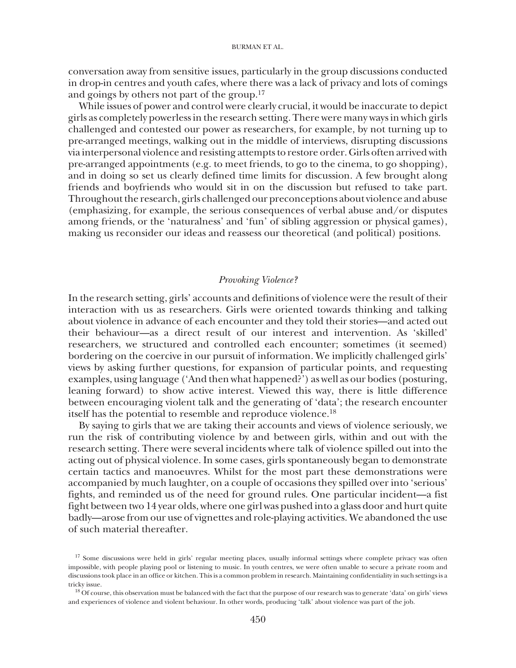conversation away from sensitive issues, particularly in the group discussions conducted in drop-in centres and youth cafes, where there was a lack of privacy and lots of comings and goings by others not part of the group.17

While issues of power and control were clearly crucial, it would be inaccurate to depict girls as completely powerless in the research setting. There were many ways in which girls challenged and contested our power as researchers, for example, by not turning up to pre-arranged meetings, walking out in the middle of interviews, disrupting discussions via interpersonal violence and resisting attempts to restore order. Girls often arrived with pre-arranged appointments (e.g. to meet friends, to go to the cinema, to go shopping), and in doing so set us clearly defined time limits for discussion. A few brought along friends and boyfriends who would sit in on the discussion but refused to take part. Throughout the research, girls challenged our preconceptions about violence and abuse (emphasizing, for example, the serious consequences of verbal abuse and/or disputes among friends, or the 'naturalness' and 'fun' of sibling aggression or physical games), making us reconsider our ideas and reassess our theoretical (and political) positions.

## *Provoking Violence?*

In the research setting, girls' accounts and definitions of violence were the result of their interaction with us as researchers. Girls were oriented towards thinking and talking about violence in advance of each encounter and they told their stories—and acted out their behaviour—as a direct result of our interest and intervention. As 'skilled' researchers, we structured and controlled each encounter; sometimes (it seemed) bordering on the coercive in our pursuit of information. We implicitly challenged girls' views by asking further questions, for expansion of particular points, and requesting examples, using language ('And then what happened?') as well as our bodies (posturing, leaning forward) to show active interest. Viewed this way, there is little difference between encouraging violent talk and the generating of 'data'; the research encounter itself has the potential to resemble and reproduce violence.18

By saying to girls that we are taking their accounts and views of violence seriously, we run the risk of contributing violence by and between girls, within and out with the research setting. There were several incidents where talk of violence spilled out into the acting out of physical violence. In some cases, girls spontaneously began to demonstrate certain tactics and manoeuvres. Whilst for the most part these demonstrations were accompanied by much laughter, on a couple of occasions they spilled over into 'serious' fights, and reminded us of the need for ground rules. One particular incident—a fist fight between two 14 year olds, where one girl was pushed into a glass door and hurt quite badly—arose from our use of vignettes and role-playing activities. We abandoned the use of such material thereafter.

<sup>&</sup>lt;sup>17</sup> Some discussions were held in girls' regular meeting places, usually informal settings where complete privacy was often impossible, with people playing pool or listening to music. In youth centres, we were often unable to secure a private room and discussions took place in an office or kitchen. This is a common problem in research. Maintaining confidentiality in such settings is a tricky issue.

<sup>&</sup>lt;sup>18</sup> Of course, this observation must be balanced with the fact that the purpose of our research was to generate 'data' on girls' views and experiences of violence and violent behaviour. In other words, producing 'talk' about violence was part of the job.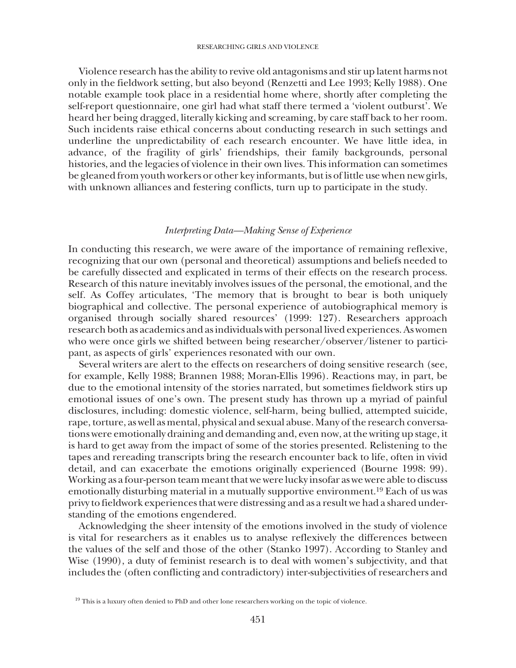#### RESEARCHING GIRLS AND VIOLENCE

Violence research has the ability to revive old antagonisms and stir up latent harms not only in the fieldwork setting, but also beyond (Renzetti and Lee 1993; Kelly 1988). One notable example took place in a residential home where, shortly after completing the self-report questionnaire, one girl had what staff there termed a 'violent outburst'. We heard her being dragged, literally kicking and screaming, by care staff back to her room. Such incidents raise ethical concerns about conducting research in such settings and underline the unpredictability of each research encounter. We have little idea, in advance, of the fragility of girls' friendships, their family backgrounds, personal histories, and the legacies of violence in their own lives. This information can sometimes be gleaned from youth workers or other key informants, but is of little use when new girls, with unknown alliances and festering conflicts, turn up to participate in the study.

## *Interpreting Data—Making Sense of Experience*

In conducting this research, we were aware of the importance of remaining reflexive, recognizing that our own (personal and theoretical) assumptions and beliefs needed to be carefully dissected and explicated in terms of their effects on the research process. Research of this nature inevitably involves issues of the personal, the emotional, and the self. As Coffey articulates, 'The memory that is brought to bear is both uniquely biographical and collective. The personal experience of autobiographical memory is organised through socially shared resources' (1999: 127). Researchers approach research both as academics and as individuals with personal lived experiences. As women who were once girls we shifted between being researcher/observer/listener to participant, as aspects of girls' experiences resonated with our own.

Several writers are alert to the effects on researchers of doing sensitive research (see, for example, Kelly 1988; Brannen 1988; Moran-Ellis 1996). Reactions may, in part, be due to the emotional intensity of the stories narrated, but sometimes fieldwork stirs up emotional issues of one's own. The present study has thrown up a myriad of painful disclosures, including: domestic violence, self-harm, being bullied, attempted suicide, rape, torture, as well as mental, physical and sexual abuse. Many of the research conversations were emotionally draining and demanding and, even now, at the writing up stage, it is hard to get away from the impact of some of the stories presented. Relistening to the tapes and rereading transcripts bring the research encounter back to life, often in vivid detail, and can exacerbate the emotions originally experienced (Bourne 1998: 99). Working as a four-person team meant that we were lucky insofar as we were able to discuss emotionally disturbing material in a mutually supportive environment.19 Each of us was privy to fieldwork experiences that were distressing and as a result we had a shared understanding of the emotions engendered.

Acknowledging the sheer intensity of the emotions involved in the study of violence is vital for researchers as it enables us to analyse reflexively the differences between the values of the self and those of the other (Stanko 1997). According to Stanley and Wise (1990), a duty of feminist research is to deal with women's subjectivity, and that includes the (often conflicting and contradictory) inter-subjectivities of researchers and

<sup>&</sup>lt;sup>19</sup> This is a luxury often denied to PhD and other lone researchers working on the topic of violence.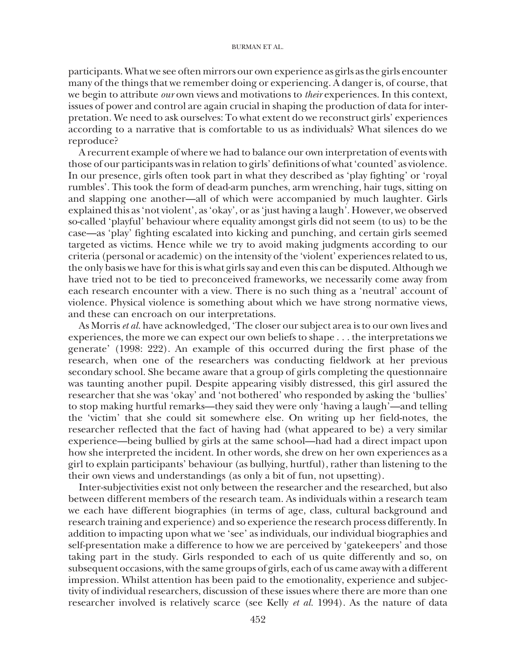participants. What we see often mirrors our own experience as girls as the girls encounter many of the things that we remember doing or experiencing. A danger is, of course, that we begin to attribute *our* own views and motivations to *their* experiences. In this context, issues of power and control are again crucial in shaping the production of data for interpretation. We need to ask ourselves: To what extent do we reconstruct girls' experiences according to a narrative that is comfortable to us as individuals? What silences do we reproduce?

A recurrent example of where we had to balance our own interpretation of events with those of our participants was in relation to girls' definitions of what 'counted' as violence. In our presence, girls often took part in what they described as 'play fighting' or 'royal rumbles'. This took the form of dead-arm punches, arm wrenching, hair tugs, sitting on and slapping one another—all of which were accompanied by much laughter. Girls explained this as 'not violent', as 'okay', or as 'just having a laugh'. However, we observed so-called 'playful' behaviour where equality amongst girls did not seem (to us) to be the case—as 'play' fighting escalated into kicking and punching, and certain girls seemed targeted as victims. Hence while we try to avoid making judgments according to our criteria (personal or academic) on the intensity of the 'violent' experiences related to us, the only basis we have for this is what girls say and even this can be disputed. Although we have tried not to be tied to preconceived frameworks, we necessarily come away from each research encounter with a view. There is no such thing as a 'neutral' account of violence. Physical violence is something about which we have strong normative views, and these can encroach on our interpretations.

As Morris *et al.* have acknowledged, 'The closer our subject area is to our own lives and experiences, the more we can expect our own beliefs to shape . . . the interpretations we generate' (1998: 222). An example of this occurred during the first phase of the research, when one of the researchers was conducting fieldwork at her previous secondary school. She became aware that a group of girls completing the questionnaire was taunting another pupil. Despite appearing visibly distressed, this girl assured the researcher that she was 'okay' and 'not bothered' who responded by asking the 'bullies' to stop making hurtful remarks—they said they were only 'having a laugh'—and telling the 'victim' that she could sit somewhere else. On writing up her field-notes, the researcher reflected that the fact of having had (what appeared to be) a very similar experience—being bullied by girls at the same school—had had a direct impact upon how she interpreted the incident. In other words, she drew on her own experiences as a girl to explain participants' behaviour (as bullying, hurtful), rather than listening to the their own views and understandings (as only a bit of fun, not upsetting).

Inter-subjectivities exist not only between the researcher and the researched, but also between different members of the research team. As individuals within a research team we each have different biographies (in terms of age, class, cultural background and research training and experience) and so experience the research process differently. In addition to impacting upon what we 'see' as individuals, our individual biographies and self-presentation make a difference to how we are perceived by 'gatekeepers' and those taking part in the study. Girls responded to each of us quite differently and so, on subsequent occasions, with the same groups of girls, each of us came away with a different impression. Whilst attention has been paid to the emotionality, experience and subjectivity of individual researchers, discussion of these issues where there are more than one researcher involved is relatively scarce (see Kelly *et al.* 1994). As the nature of data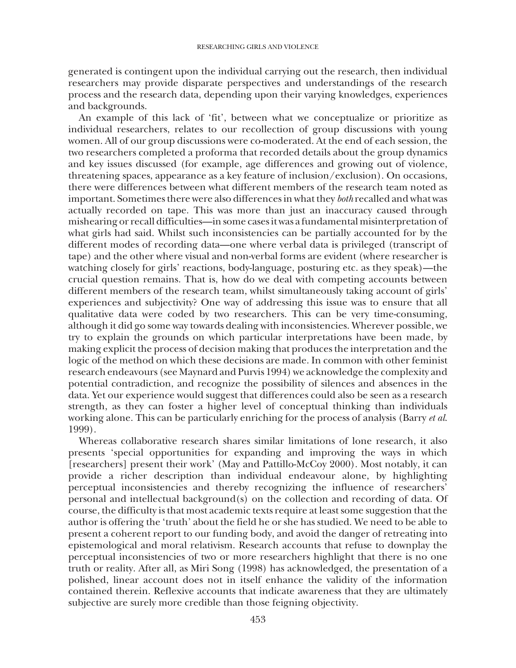generated is contingent upon the individual carrying out the research, then individual researchers may provide disparate perspectives and understandings of the research process and the research data, depending upon their varying knowledges, experiences and backgrounds.

An example of this lack of 'fit', between what we conceptualize or prioritize as individual researchers, relates to our recollection of group discussions with young women. All of our group discussions were co-moderated. At the end of each session, the two researchers completed a proforma that recorded details about the group dynamics and key issues discussed (for example, age differences and growing out of violence, threatening spaces, appearance as a key feature of inclusion/exclusion). On occasions, there were differences between what different members of the research team noted as important. Sometimes there were also differences in what they *both* recalled and what was actually recorded on tape. This was more than just an inaccuracy caused through mishearing or recall difficulties—in some cases it was a fundamental misinterpretation of what girls had said. Whilst such inconsistencies can be partially accounted for by the different modes of recording data—one where verbal data is privileged (transcript of tape) and the other where visual and non-verbal forms are evident (where researcher is watching closely for girls' reactions, body-language, posturing etc. as they speak)—the crucial question remains. That is, how do we deal with competing accounts between different members of the research team, whilst simultaneously taking account of girls' experiences and subjectivity? One way of addressing this issue was to ensure that all qualitative data were coded by two researchers. This can be very time-consuming, although it did go some way towards dealing with inconsistencies. Wherever possible, we try to explain the grounds on which particular interpretations have been made, by making explicit the process of decision making that produces the interpretation and the logic of the method on which these decisions are made. In common with other feminist research endeavours (see Maynard and Purvis 1994) we acknowledge the complexity and potential contradiction, and recognize the possibility of silences and absences in the data. Yet our experience would suggest that differences could also be seen as a research strength, as they can foster a higher level of conceptual thinking than individuals working alone. This can be particularly enriching for the process of analysis (Barry *et al*. 1999).

Whereas collaborative research shares similar limitations of lone research, it also presents 'special opportunities for expanding and improving the ways in which [researchers] present their work' (May and Pattillo-McCoy 2000). Most notably, it can provide a richer description than individual endeavour alone, by highlighting perceptual inconsistencies and thereby recognizing the influence of researchers' personal and intellectual background(s) on the collection and recording of data. Of course, the difficulty is that most academic texts require at least some suggestion that the author is offering the 'truth' about the field he or she has studied. We need to be able to present a coherent report to our funding body, and avoid the danger of retreating into epistemological and moral relativism. Research accounts that refuse to downplay the perceptual inconsistencies of two or more researchers highlight that there is no one truth or reality. After all, as Miri Song (1998) has acknowledged, the presentation of a polished, linear account does not in itself enhance the validity of the information contained therein. Reflexive accounts that indicate awareness that they are ultimately subjective are surely more credible than those feigning objectivity.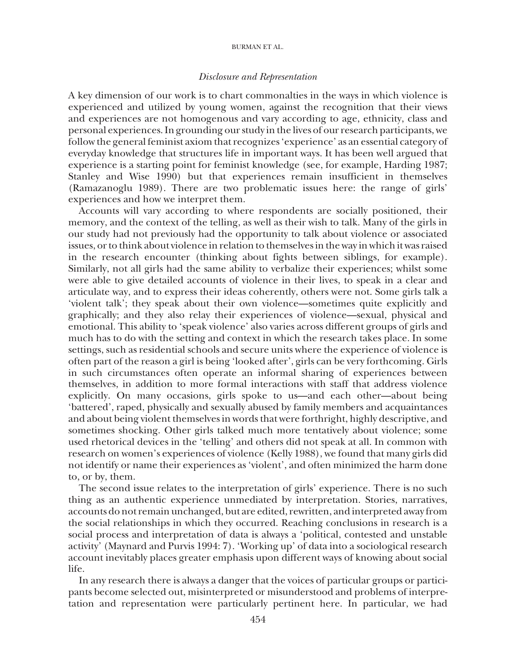## *Disclosure and Representation*

A key dimension of our work is to chart commonalties in the ways in which violence is experienced and utilized by young women, against the recognition that their views and experiences are not homogenous and vary according to age, ethnicity, class and personal experiences. In grounding our study in the lives of our research participants, we follow the general feminist axiom that recognizes 'experience' as an essential category of everyday knowledge that structures life in important ways. It has been well argued that experience is a starting point for feminist knowledge (see, for example, Harding 1987; Stanley and Wise 1990) but that experiences remain insufficient in themselves (Ramazanoglu 1989). There are two problematic issues here: the range of girls' experiences and how we interpret them.

Accounts will vary according to where respondents are socially positioned, their memory, and the context of the telling, as well as their wish to talk. Many of the girls in our study had not previously had the opportunity to talk about violence or associated issues, or to think about violence in relation to themselves in the way in which it was raised in the research encounter (thinking about fights between siblings, for example). Similarly, not all girls had the same ability to verbalize their experiences; whilst some were able to give detailed accounts of violence in their lives, to speak in a clear and articulate way, and to express their ideas coherently, others were not. Some girls talk a 'violent talk'; they speak about their own violence—sometimes quite explicitly and graphically; and they also relay their experiences of violence—sexual, physical and emotional. This ability to 'speak violence' also varies across different groups of girls and much has to do with the setting and context in which the research takes place. In some settings, such as residential schools and secure units where the experience of violence is often part of the reason a girl is being 'looked after', girls can be very forthcoming. Girls in such circumstances often operate an informal sharing of experiences between themselves, in addition to more formal interactions with staff that address violence explicitly. On many occasions, girls spoke to us—and each other—about being 'battered', raped, physically and sexually abused by family members and acquaintances and about being violent themselves in words that were forthright, highly descriptive, and sometimes shocking. Other girls talked much more tentatively about violence; some used rhetorical devices in the 'telling' and others did not speak at all. In common with research on women's experiences of violence (Kelly 1988), we found that many girls did not identify or name their experiences as 'violent', and often minimized the harm done to, or by, them.

The second issue relates to the interpretation of girls' experience. There is no such thing as an authentic experience unmediated by interpretation. Stories, narratives, accounts do not remain unchanged, but are edited, rewritten, and interpreted away from the social relationships in which they occurred. Reaching conclusions in research is a social process and interpretation of data is always a 'political, contested and unstable activity' (Maynard and Purvis 1994: 7). 'Working up' of data into a sociological research account inevitably places greater emphasis upon different ways of knowing about social life.

In any research there is always a danger that the voices of particular groups or participants become selected out, misinterpreted or misunderstood and problems of interpretation and representation were particularly pertinent here. In particular, we had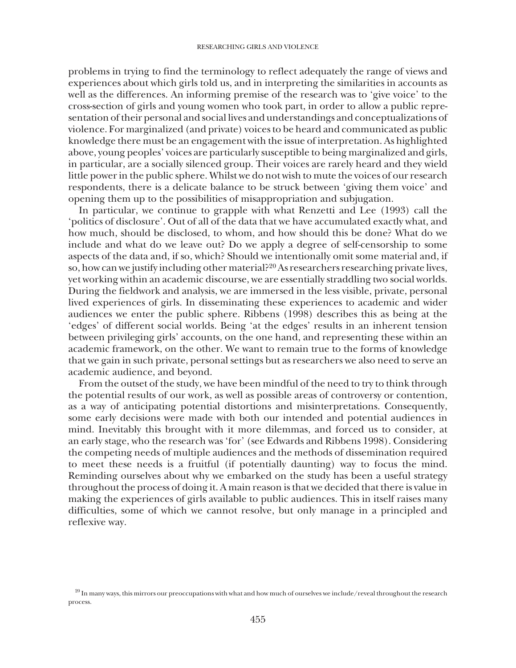problems in trying to find the terminology to reflect adequately the range of views and experiences about which girls told us, and in interpreting the similarities in accounts as well as the differences. An informing premise of the research was to 'give voice' to the cross-section of girls and young women who took part, in order to allow a public representation of their personal and social lives and understandings and conceptualizations of violence. For marginalized (and private) voices to be heard and communicated as public knowledge there must be an engagement with the issue of interpretation. As highlighted above, young peoples' voices are particularly susceptible to being marginalized and girls, in particular, are a socially silenced group. Their voices are rarely heard and they wield little power in the public sphere. Whilst we do not wish to mute the voices of our research respondents, there is a delicate balance to be struck between 'giving them voice' and opening them up to the possibilities of misappropriation and subjugation.

In particular, we continue to grapple with what Renzetti and Lee (1993) call the 'politics of disclosure'. Out of all of the data that we have accumulated exactly what, and how much, should be disclosed, to whom, and how should this be done? What do we include and what do we leave out? Do we apply a degree of self-censorship to some aspects of the data and, if so, which? Should we intentionally omit some material and, if so, how can we justify including other material?<sup>20</sup> As researchers researching private lives, yet working within an academic discourse, we are essentially straddling two social worlds. During the fieldwork and analysis, we are immersed in the less visible, private, personal lived experiences of girls. In disseminating these experiences to academic and wider audiences we enter the public sphere. Ribbens (1998) describes this as being at the 'edges' of different social worlds. Being 'at the edges' results in an inherent tension between privileging girls' accounts, on the one hand, and representing these within an academic framework, on the other. We want to remain true to the forms of knowledge that we gain in such private, personal settings but as researchers we also need to serve an academic audience, and beyond.

From the outset of the study, we have been mindful of the need to try to think through the potential results of our work, as well as possible areas of controversy or contention, as a way of anticipating potential distortions and misinterpretations. Consequently, some early decisions were made with both our intended and potential audiences in mind. Inevitably this brought with it more dilemmas, and forced us to consider, at an early stage, who the research was 'for' (see Edwards and Ribbens 1998). Considering the competing needs of multiple audiences and the methods of dissemination required to meet these needs is a fruitful (if potentially daunting) way to focus the mind. Reminding ourselves about why we embarked on the study has been a useful strategy throughout the process of doing it. A main reason is that we decided that there is value in making the experiences of girls available to public audiences. This in itself raises many difficulties, some of which we cannot resolve, but only manage in a principled and reflexive way.

 $20$  In many ways, this mirrors our preoccupations with what and how much of ourselves we include/reveal throughout the research process.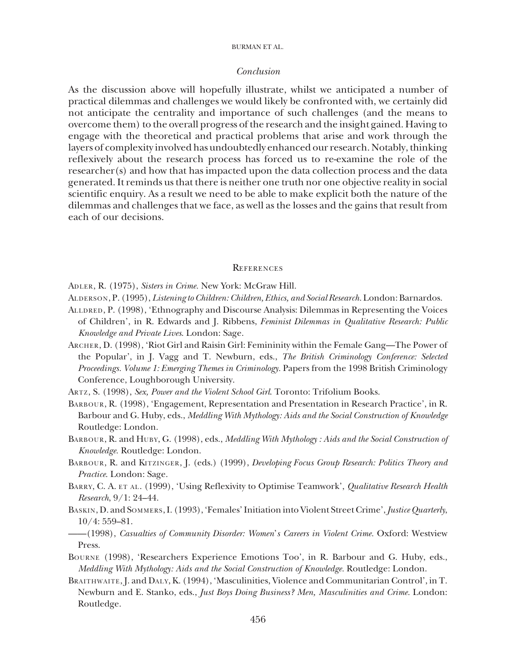#### *Conclusion*

As the discussion above will hopefully illustrate, whilst we anticipated a number of practical dilemmas and challenges we would likely be confronted with, we certainly did not anticipate the centrality and importance of such challenges (and the means to overcome them) to the overall progress of the research and the insight gained. Having to engage with the theoretical and practical problems that arise and work through the layers of complexity involved has undoubtedly enhanced our research. Notably, thinking reflexively about the research process has forced us to re-examine the role of the researcher(s) and how that has impacted upon the data collection process and the data generated. It reminds us that there is neither one truth nor one objective reality in social scientific enquiry. As a result we need to be able to make explicit both the nature of the dilemmas and challenges that we face, as well as the losses and the gains that result from each of our decisions.

## **REFERENCES**

ADLER, R. (1975), *Sisters in Crime.* New York: McGraw Hill.

- ALDERSON, P. (1995), *Listening to Children: Children, Ethics, and Social Research.* London: Barnardos.
- ALLDRED, P. (1998), 'Ethnography and Discourse Analysis: Dilemmas in Representing the Voices of Children', in R. Edwards and J. Ribbens, *Feminist Dilemmas in Qualitative Research: Public Knowledge and Private Lives*. London: Sage.
- ARCHER, D. (1998), 'Riot Girl and Raisin Girl: Femininity within the Female Gang—The Power of the Popular', in J. Vagg and T. Newburn, eds., *The British Criminology Conference: Selected Proceedings. Volume 1: Emerging Themes in Criminology.* Papers from the 1998 British Criminology Conference, Loughborough University.

ARTZ, S. (1998), *Sex, Power and the Violent School Girl*. Toronto: Trifolium Books.

- BARBOUR, R. (1998), 'Engagement, Representation and Presentation in Research Practice', in R. Barbour and G. Huby, eds., *Meddling With Mythology: Aids and the Social Construction of Knowledge* Routledge: London.
- BARBOUR, R. and HUBY, G. (1998), eds., *Meddling With Mythology : Aids and the Social Construction of Knowledge.* Routledge: London.
- BARBOUR, R. and KITZINGER, J. (eds.) (1999), *Developing Focus Group Research: Politics Theory and Practice*. London: Sage.
- BARRY, C. A. ET AL. (1999), 'Using Reflexivity to Optimise Teamwork', *Qualitative Research Health Research*, 9/1: 24–44.
- BASKIN, D. and SOMMERS, I. (1993), 'Females' Initiation into Violent Street Crime', *Justice Quarterly*, 10/4: 559–81.

——(1998), *Casualties of Community Disorder: Women*'*s Careers in Violent Crime.* Oxford: Westview Press.

- BOURNE (1998), 'Researchers Experience Emotions Too', in R. Barbour and G. Huby, eds., *Meddling With Mythology: Aids and the Social Construction of Knowledge.* Routledge: London.
- BRAITHWAITE, J. and DALY, K. (1994), 'Masculinities, Violence and Communitarian Control', in T. Newburn and E. Stanko, eds., *Just Boys Doing Business? Men, Masculinities and Crime.* London: Routledge.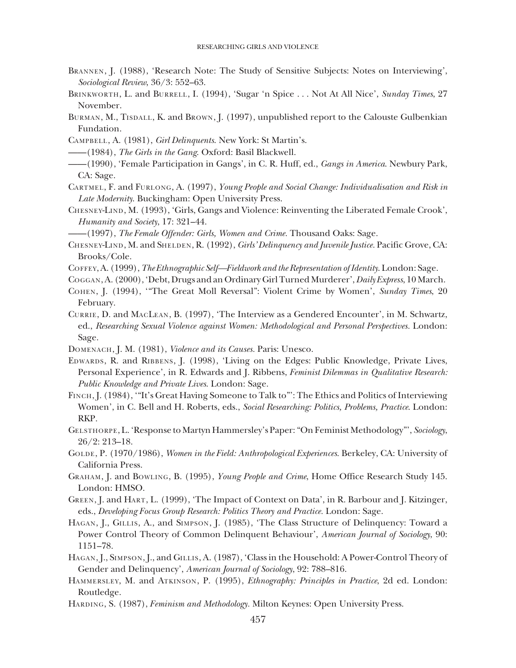- BRANNEN, J. (1988), 'Research Note: The Study of Sensitive Subjects: Notes on Interviewing', *Sociological Review*, 36/3: 552–63.
- BRINKWORTH, L. and BURRELL, I. (1994), 'Sugar 'n Spice . . . Not At All Nice', *Sunday Times*, 27 November.
- BURMAN, M., TISDALL, K. and BROWN, J. (1997), unpublished report to the Calouste Gulbenkian Fundation.
- CAMPBELL, A. (1981), *Girl Delinquents*. New York: St Martin's.
- ——(1984), *The Girls in the Gang*. Oxford: Basil Blackwell.
- ——(1990), 'Female Participation in Gangs', in C. R. Huff, ed., *Gangs in America*. Newbury Park, CA: Sage.
- CARTMEL, F. and FURLONG, A. (1997), *Young People and Social Change: Individualisation and Risk in Late Modernity*. Buckingham: Open University Press.
- CHESNEY-LIND, M. (1993), 'Girls, Gangs and Violence: Reinventing the Liberated Female Crook', *Humanity and Society*, 17: 321–44.
- ——(1997), *The Female Offender: Girls, Women and Crime.* Thousand Oaks: Sage.
- CHESNEY-LIND, M. and SHELDEN, R. (1992), *Girls' Delinquency and Juvenile Justice.* Pacific Grove, CA: Brooks/Cole.
- COFFEY, A. (1999),*The Ethnographic Self—Fieldwork and the Representation of Identity*. London: Sage.
- COGGAN, A. (2000), 'Debt, Drugs and an Ordinary Girl Turned Murderer',*Daily Express*, 10 March.
- COHEN, J. (1994), '"The Great Moll Reversal": Violent Crime by Women', *Sunday Times*, 20 February.
- CURRIE, D. and MACLEAN, B. (1997), 'The Interview as a Gendered Encounter', in M. Schwartz, ed., *Researching Sexual Violence against Women: Methodological and Personal Perspectives.* London: Sage.
- DOMENACH, J. M. (1981), *Violence and its Causes.* Paris: Unesco.
- EDWARDS, R. and RIBBENS, J. (1998), 'Living on the Edges: Public Knowledge, Private Lives, Personal Experience', in R. Edwards and J. Ribbens, *Feminist Dilemmas in Qualitative Research: Public Knowledge and Private Lives*. London: Sage.
- FINCH, J. (1984), '"It's Great Having Someone to Talk to"': The Ethics and Politics of Interviewing Women', in C. Bell and H. Roberts, eds., *Social Researching: Politics, Problems, Practice*. London: RKP.
- GELSTHORPE, L. 'Response to Martyn Hammersley's Paper: "On Feminist Methodology"', *Sociology*, 26/2: 213–18.
- GOLDE, P. (1970/1986), *Women in the Field: Anthropological Experiences*. Berkeley, CA: University of California Press.
- GRAHAM, J. and BOWLING, B. (1995), *Young People and Crime*, Home Office Research Study 145. London: HMSO.
- GREEN, J. and HART, L. (1999), 'The Impact of Context on Data', in R. Barbour and J. Kitzinger, eds., *Developing Focus Group Research: Politics Theory and Practice.* London: Sage.
- HAGAN, J., GILLIS, A., and SIMPSON, J. (1985), 'The Class Structure of Delinquency: Toward a Power Control Theory of Common Delinquent Behaviour', *American Journal of Sociology*, 90: 1151–78.
- HAGAN, J., SIMPSON, J., and GILLIS, A. (1987), 'Class in the Household: A Power-Control Theory of Gender and Delinquency', *American Journal of Sociology*, 92: 788–816.
- HAMMERSLEY, M. and ATKINSON, P. (1995), *Ethnography: Principles in Practice*, 2d ed. London: Routledge.
- HARDING, S. (1987), *Feminism and Methodology.* Milton Keynes: Open University Press.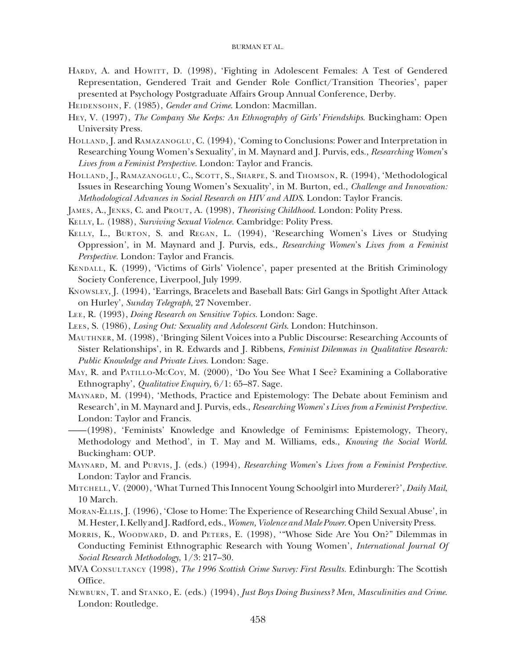- HARDY, A. and HOWITT, D. (1998), 'Fighting in Adolescent Females: A Test of Gendered Representation, Gendered Trait and Gender Role Conflict/Transition Theories', paper presented at Psychology Postgraduate Affairs Group Annual Conference, Derby.
- HEIDENSOHN, F. (1985), *Gender and Crime*. London: Macmillan.
- HEY, V. (1997), *The Company She Keeps: An Ethnography of Girls' Friendships*. Buckingham: Open University Press.
- HOLLAND, J. and RAMAZANOGLU, C. (1994), 'Coming to Conclusions: Power and Interpretation in Researching Young Women's Sexuality', in M. Maynard and J. Purvis, eds., *Researching Women*'s *Lives from a Feminist Perspective.* London: Taylor and Francis.
- HOLLAND, J., RAMAZANOGLU, C., SCOTT, S., SHARPE, S. and THOMSON, R. (1994), 'Methodological Issues in Researching Young Women's Sexuality', in M. Burton, ed., *Challenge and Innovation: Methodological Advances in Social Research on HIV and AIDS*. London: Taylor Francis.
- JAMES, A., JENKS, C. and PROUT, A. (1998), *Theorising Childhood*. London: Polity Press.
- KELLY, L. (1988), *Surviving Sexual Violence.* Cambridge: Polity Press.
- KELLY, L., BURTON, S. and REGAN, L. (1994), 'Researching Women's Lives or Studying Oppression', in M. Maynard and J. Purvis, eds., *Researching Women*'s *Lives from a Feminist Perspective.* London: Taylor and Francis.
- KENDALL, K. (1999), 'Victims of Girls' Violence', paper presented at the British Criminology Society Conference, Liverpool, July 1999.
- KNOWSLEY, J. (1994), 'Earrings, Bracelets and Baseball Bats: Girl Gangs in Spotlight After Attack on Hurley', *Sunday Telegraph*, 27 November.
- LEE, R. (1993), *Doing Research on Sensitive Topics.* London: Sage.
- LEES, S. (1986), *Losing Out: Sexuality and Adolescent Girls*. London: Hutchinson.
- MAUTHNER, M. (1998), 'Bringing Silent Voices into a Public Discourse: Researching Accounts of Sister Relationships', in R. Edwards and J. Ribbens, *Feminist Dilemmas in Qualitative Research: Public Knowledge and Private Lives*. London: Sage.
- MAY, R. and PATILLO-MCCOY, M. (2000), 'Do You See What I See? Examining a Collaborative Ethnography', *Qualitative Enquiry*, 6/1: 65–87. Sage.
- MAYNARD, M. (1994), 'Methods, Practice and Epistemology: The Debate about Feminism and Research', in M. Maynard and J. Purvis, eds., *Researching Women*'*s Lives from a Feminist Perspective.* London: Taylor and Francis.
- ——(1998), 'Feminists' Knowledge and Knowledge of Feminisms: Epistemology, Theory, Methodology and Method', in T. May and M. Williams, eds., *Knowing the Social World*. Buckingham: OUP.
- MAYNARD, M. and PURVIS, J. (eds.) (1994), *Researching Women*'s *Lives from a Feminist Perspective.* London: Taylor and Francis.
- MITCHELL, V. (2000), 'What Turned This Innocent Young Schoolgirl into Murderer?', *Daily Mail*, 10 March.
- MORAN-ELLIS, J. (1996), 'Close to Home: The Experience of Researching Child Sexual Abuse', in M. Hester, I. Kelly and J. Radford, eds., *Women, Violence and Male Power*. Open University Press.
- MORRIS, K., WOODWARD, D. and PETERS, E. (1998), '"Whose Side Are You On?" Dilemmas in Conducting Feminist Ethnographic Research with Young Women', *International Journal Of Social Research Methodology*, 1/3: 217–30.
- MVA CONSULTANCY (1998), *The 1996 Scottish Crime Survey: First Results.* Edinburgh: The Scottish Office.
- NEWBURN, T. and STANKO, E. (eds.) (1994), *Just Boys Doing Business? Men, Masculinities and Crime*. London: Routledge.